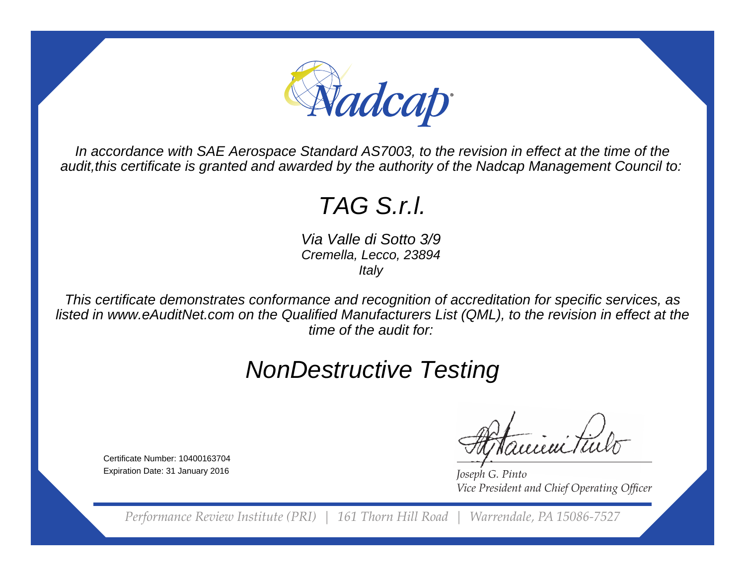

In accordance with SAE Aerospace Standard AS7003, to the revision in effect at the time of theaudit,this certificate is granted and awarded by the authority of the Nadcap Management Council to:

## TAG S.r.l.

Via Valle di Sotto 3/9 Cremella, Lecco, 23894**Italy** 

This certificate demonstrates conformance and recognition of accreditation for specific services, as listed in www.eAuditNet.com on the Qualified Manufacturers List (QML), to the revision in effect at thetime of the audit for:

## NonDestructive Testing

Certificate Number: 10400163704Expiration Date: 31 January 2016

*Joseph G. Pinto Vice President and Chief Operating Officer* 

*Performance Review Institute (PRI) | 161 Thorn Hill Road | Warrendale, PA 15086-7527*